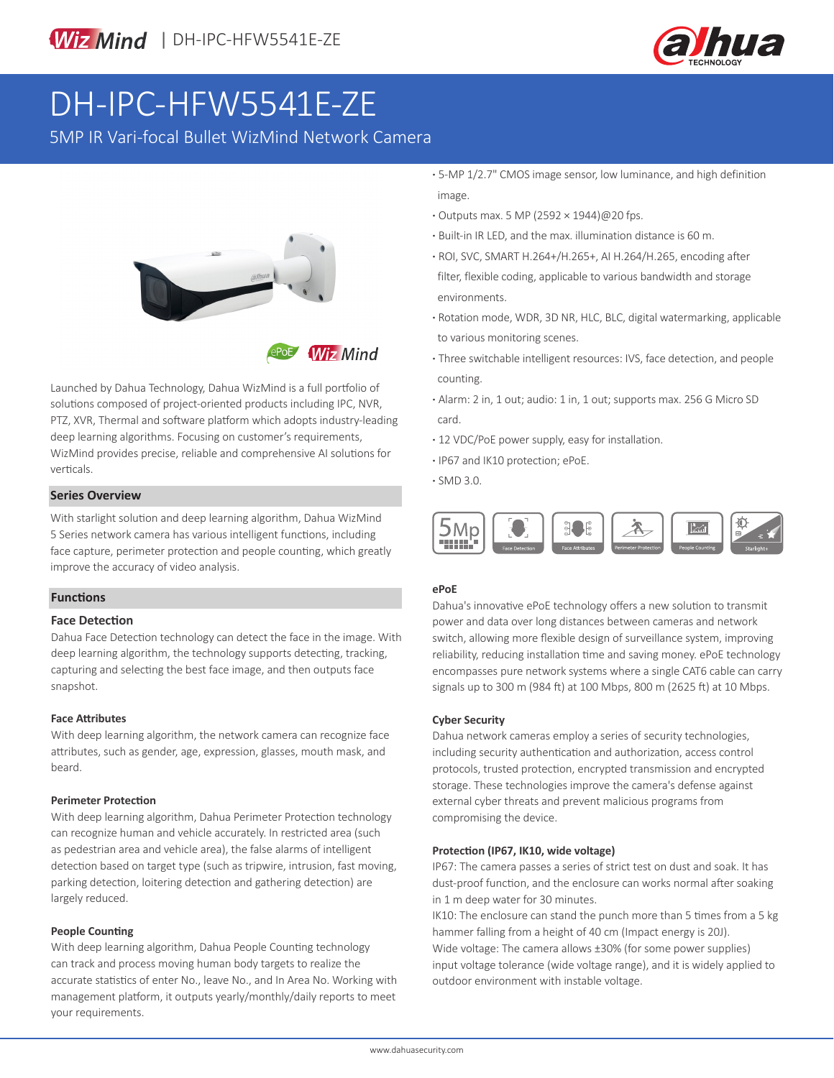



# DH-IPC-HFW5541E-ZE

5MP IR Vari-focal Bullet WizMind Network Camera



**Wiz Mind** 

Launched by Dahua Technology, Dahua WizMind is a full portfolio of solutions composed of project-oriented products including IPC, NVR, PTZ, XVR, Thermal and software platform which adopts industry-leading deep learning algorithms. Focusing on customer's requirements, WizMind provides precise, reliable and comprehensive AI solutions for verticals.

#### **Series Overview**

With starlight solution and deep learning algorithm, Dahua WizMind 5 Series network camera has various intelligent functions, including face capture, perimeter protection and people counting, which greatly improve the accuracy of video analysis.

#### **Functions**

#### **Face Detection**

Dahua Face Detection technology can detect the face in the image. With deep learning algorithm, the technology supports detecting, tracking, capturing and selecting the best face image, and then outputs face snapshot.

#### **Face Attributes**

With deep learning algorithm, the network camera can recognize face attributes, such as gender, age, expression, glasses, mouth mask, and beard.

#### **Perimeter Protection**

With deep learning algorithm, Dahua Perimeter Protection technology can recognize human and vehicle accurately. In restricted area (such as pedestrian area and vehicle area), the false alarms of intelligent detection based on target type (such as tripwire, intrusion, fast moving, parking detection, loitering detection and gathering detection) are largely reduced.

#### **People Counting**

With deep learning algorithm, Dahua People Counting technology can track and process moving human body targets to realize the accurate statistics of enter No., leave No., and In Area No. Working with management platform, it outputs yearly/monthly/daily reports to meet your requirements.

- **·** 5-MP 1/2.7" CMOS image sensor, low luminance, and high definition image.
- **·** Outputs max. 5 MP (2592 × 1944)@20 fps.
- **·** Built-in IR LED, and the max. illumination distance is 60 m.
- **·** ROI, SVC, SMART H.264+/H.265+, AI H.264/H.265, encoding after filter, flexible coding, applicable to various bandwidth and storage environments.
- **·** Rotation mode, WDR, 3D NR, HLC, BLC, digital watermarking, applicable to various monitoring scenes.
- **·** Three switchable intelligent resources: IVS, face detection, and people counting.
- **·** Alarm: 2 in, 1 out; audio: 1 in, 1 out; supports max. 256 G Micro SD card.
- **·** 12 VDC/PoE power supply, easy for installation.
- **·** IP67 and IK10 protection; ePoE.
- **·** SMD 3.0.



#### **ePoE**

Dahua's innovative ePoE technology offers a new solution to transmit power and data over long distances between cameras and network switch, allowing more flexible design of surveillance system, improving reliability, reducing installation time and saving money. ePoE technology encompasses pure network systems where a single CAT6 cable can carry signals up to 300 m (984 ft) at 100 Mbps, 800 m (2625 ft) at 10 Mbps.

#### **Cyber Security**

Dahua network cameras employ a series of security technologies, including security authentication and authorization, access control protocols, trusted protection, encrypted transmission and encrypted storage. These technologies improve the camera's defense against external cyber threats and prevent malicious programs from compromising the device.

#### **Protection (IP67, IK10, wide voltage)**

IP67: The camera passes a series of strict test on dust and soak. It has dust-proof function, and the enclosure can works normal after soaking in 1 m deep water for 30 minutes.

IK10: The enclosure can stand the punch more than 5 times from a 5 kg hammer falling from a height of 40 cm (Impact energy is 20J). Wide voltage: The camera allows ±30% (for some power supplies) input voltage tolerance (wide voltage range), and it is widely applied to outdoor environment with instable voltage.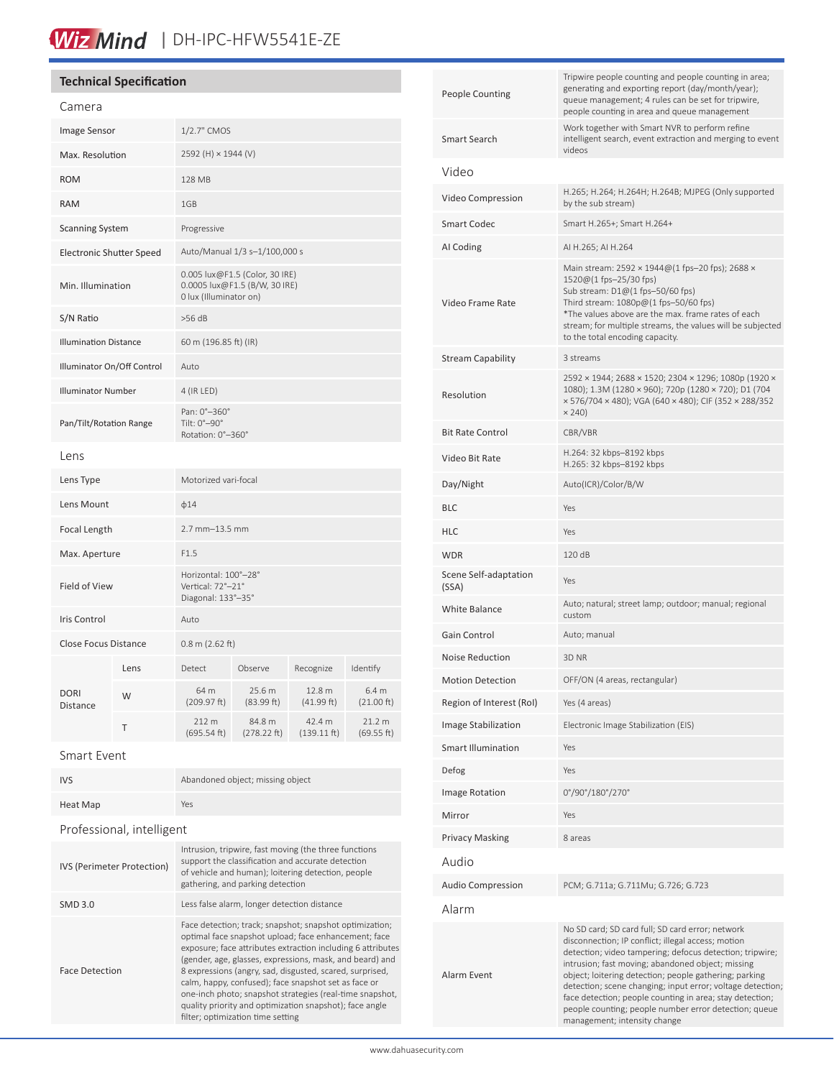# Wiz Mind | DH-IPC-HFW5541E-ZE

## **Technical Specification**

| Camera                          |      |                                                                                           |                       |                                 |                                |
|---------------------------------|------|-------------------------------------------------------------------------------------------|-----------------------|---------------------------------|--------------------------------|
| Image Sensor                    |      | 1/2.7" CMOS                                                                               |                       |                                 |                                |
| Max. Resolution                 |      | 2592 (H) × 1944 (V)                                                                       |                       |                                 |                                |
| <b>ROM</b>                      |      | 128 MB                                                                                    |                       |                                 |                                |
| <b>RAM</b>                      |      | 1GB                                                                                       |                       |                                 |                                |
| <b>Scanning System</b>          |      | Progressive                                                                               |                       |                                 |                                |
| <b>Electronic Shutter Speed</b> |      | Auto/Manual 1/3 s-1/100,000 s                                                             |                       |                                 |                                |
| Min. Illumination               |      | 0.005 lux@F1.5 (Color, 30 IRE)<br>0.0005 lux@F1.5 (B/W, 30 IRE)<br>0 lux (Illuminator on) |                       |                                 |                                |
| S/N Ratio                       |      | $>56$ dB                                                                                  |                       |                                 |                                |
| <b>Illumination Distance</b>    |      | 60 m (196.85 ft) (IR)                                                                     |                       |                                 |                                |
| Illuminator On/Off Control      |      | Auto                                                                                      |                       |                                 |                                |
| <b>Illuminator Number</b>       |      | 4 (IR LED)                                                                                |                       |                                 |                                |
| Pan/Tilt/Rotation Range         |      | Pan: 0°-360°<br>Tilt: 0°-90°<br>Rotation: 0°-360°                                         |                       |                                 |                                |
| Lens                            |      |                                                                                           |                       |                                 |                                |
| Lens Type                       |      | Motorized vari-focal                                                                      |                       |                                 |                                |
| Lens Mount                      |      | $\phi$ 14                                                                                 |                       |                                 |                                |
| Focal Length                    |      | $2.7$ mm $-13.5$ mm                                                                       |                       |                                 |                                |
| Max. Aperture                   |      | F1.5                                                                                      |                       |                                 |                                |
| <b>Field of View</b>            |      | Horizontal: 100°-28°<br>Vertical: 72°-21°<br>Diagonal: 133°-35°                           |                       |                                 |                                |
| <b>Iris Control</b>             |      | Auto                                                                                      |                       |                                 |                                |
| <b>Close Focus Distance</b>     |      | $0.8$ m (2.62 ft)                                                                         |                       |                                 |                                |
| <b>DORI</b><br><b>Distance</b>  | Lens | <b>Detect</b>                                                                             | Observe               | Recognize                       | Identify                       |
|                                 | W    | 64 m<br>(209.97 ft)                                                                       | 25.6 m<br>(83.99 ft)  | 12.8 m<br>(41.99 ft)            | 6.4 <sub>m</sub><br>(21.00 ft) |
|                                 | Τ    | 212 m<br>(695.54 ft)                                                                      | 84.8 m<br>(278.22 ft) | 42.4 m<br>$(139.11 \text{ ft})$ | 21.2 m<br>(69.55 ft)           |
|                                 |      |                                                                                           |                       |                                 |                                |

### Smart Event

| <b>IVS</b>                 | Abandoned object; missing object                                                                                                                                                                                                                                                                                                                                                                                                                                                                                           |  |  |  |
|----------------------------|----------------------------------------------------------------------------------------------------------------------------------------------------------------------------------------------------------------------------------------------------------------------------------------------------------------------------------------------------------------------------------------------------------------------------------------------------------------------------------------------------------------------------|--|--|--|
| Heat Map                   | Yes                                                                                                                                                                                                                                                                                                                                                                                                                                                                                                                        |  |  |  |
| Professional, intelligent  |                                                                                                                                                                                                                                                                                                                                                                                                                                                                                                                            |  |  |  |
| IVS (Perimeter Protection) | Intrusion, tripwire, fast moving (the three functions<br>support the classification and accurate detection<br>of vehicle and human); loitering detection, people<br>gathering, and parking detection                                                                                                                                                                                                                                                                                                                       |  |  |  |
| <b>SMD 3.0</b>             | Less false alarm, longer detection distance                                                                                                                                                                                                                                                                                                                                                                                                                                                                                |  |  |  |
| <b>Face Detection</b>      | Face detection; track; snapshot; snapshot optimization;<br>optimal face snapshot upload; face enhancement; face<br>exposure; face attributes extraction including 6 attributes<br>(gender, age, glasses, expressions, mask, and beard) and<br>8 expressions (angry, sad, disgusted, scared, surprised,<br>calm, happy, confused); face snapshot set as face or<br>one-inch photo; snapshot strategies (real-time snapshot,<br>quality priority and optimization snapshot); face angle<br>filter; optimization time setting |  |  |  |
|                            |                                                                                                                                                                                                                                                                                                                                                                                                                                                                                                                            |  |  |  |

| <b>People Counting</b>         | Tripwire people counting and people counting in area;<br>generating and exporting report (day/month/year);<br>queue management; 4 rules can be set for tripwire,<br>people counting in area and queue management                                                                                                                                                                                                                                                                                     |  |  |
|--------------------------------|------------------------------------------------------------------------------------------------------------------------------------------------------------------------------------------------------------------------------------------------------------------------------------------------------------------------------------------------------------------------------------------------------------------------------------------------------------------------------------------------------|--|--|
| <b>Smart Search</b>            | Work together with Smart NVR to perform refine<br>intelligent search, event extraction and merging to event<br>videos                                                                                                                                                                                                                                                                                                                                                                                |  |  |
| Video                          |                                                                                                                                                                                                                                                                                                                                                                                                                                                                                                      |  |  |
| Video Compression              | H.265; H.264; H.264H; H.264B; MJPEG (Only supported<br>by the sub stream)                                                                                                                                                                                                                                                                                                                                                                                                                            |  |  |
| <b>Smart Codec</b>             | Smart H.265+; Smart H.264+                                                                                                                                                                                                                                                                                                                                                                                                                                                                           |  |  |
| AI Coding                      | AI H.265; AI H.264                                                                                                                                                                                                                                                                                                                                                                                                                                                                                   |  |  |
| Video Frame Rate               | Main stream: 2592 $\times$ 1944@ (1 fps-20 fps); 2688 $\times$<br>1520@(1 fps-25/30 fps)<br>Sub stream: D1@(1 fps-50/60 fps)<br>Third stream: 1080p@(1 fps-50/60 fps)<br>*The values above are the max. frame rates of each<br>stream; for multiple streams, the values will be subjected<br>to the total encoding capacity.                                                                                                                                                                         |  |  |
| <b>Stream Capability</b>       | 3 streams                                                                                                                                                                                                                                                                                                                                                                                                                                                                                            |  |  |
| Resolution                     | 2592 × 1944; 2688 × 1520; 2304 × 1296; 1080p (1920 ×<br>1080); 1.3M (1280 × 960); 720p (1280 × 720); D1 (704<br>× 576/704 × 480); VGA (640 × 480); CIF (352 × 288/352<br>$\times$ 240)                                                                                                                                                                                                                                                                                                               |  |  |
| <b>Bit Rate Control</b>        | CBR/VBR                                                                                                                                                                                                                                                                                                                                                                                                                                                                                              |  |  |
| Video Bit Rate                 | H.264: 32 kbps-8192 kbps<br>H.265: 32 kbps-8192 kbps                                                                                                                                                                                                                                                                                                                                                                                                                                                 |  |  |
| Day/Night                      | Auto(ICR)/Color/B/W                                                                                                                                                                                                                                                                                                                                                                                                                                                                                  |  |  |
| <b>BLC</b>                     | Yes                                                                                                                                                                                                                                                                                                                                                                                                                                                                                                  |  |  |
| HLC                            | Yes                                                                                                                                                                                                                                                                                                                                                                                                                                                                                                  |  |  |
| <b>WDR</b>                     | 120 dB                                                                                                                                                                                                                                                                                                                                                                                                                                                                                               |  |  |
| Scene Self-adaptation<br>(SSA) | Yes                                                                                                                                                                                                                                                                                                                                                                                                                                                                                                  |  |  |
| <b>White Balance</b>           | Auto; natural; street lamp; outdoor; manual; regional<br>custom                                                                                                                                                                                                                                                                                                                                                                                                                                      |  |  |
| Gain Control                   | Auto; manual                                                                                                                                                                                                                                                                                                                                                                                                                                                                                         |  |  |
| <b>Noise Reduction</b>         | 3D NR                                                                                                                                                                                                                                                                                                                                                                                                                                                                                                |  |  |
| <b>Motion Detection</b>        | OFF/ON (4 areas, rectangular)                                                                                                                                                                                                                                                                                                                                                                                                                                                                        |  |  |
| Region of Interest (RoI)       | Yes (4 areas)                                                                                                                                                                                                                                                                                                                                                                                                                                                                                        |  |  |
| Image Stabilization            | Electronic Image Stabilization (EIS)                                                                                                                                                                                                                                                                                                                                                                                                                                                                 |  |  |
| <b>Smart Illumination</b>      | Yes                                                                                                                                                                                                                                                                                                                                                                                                                                                                                                  |  |  |
| Defog                          | Yes                                                                                                                                                                                                                                                                                                                                                                                                                                                                                                  |  |  |
| Image Rotation                 | 0°/90°/180°/270°                                                                                                                                                                                                                                                                                                                                                                                                                                                                                     |  |  |
| Mirror                         | Yes                                                                                                                                                                                                                                                                                                                                                                                                                                                                                                  |  |  |
| Privacy Masking                | 8 areas                                                                                                                                                                                                                                                                                                                                                                                                                                                                                              |  |  |
| Audio                          |                                                                                                                                                                                                                                                                                                                                                                                                                                                                                                      |  |  |
| <b>Audio Compression</b>       | PCM; G.711a; G.711Mu; G.726; G.723                                                                                                                                                                                                                                                                                                                                                                                                                                                                   |  |  |
| Alarm                          |                                                                                                                                                                                                                                                                                                                                                                                                                                                                                                      |  |  |
| Alarm Event                    | No SD card; SD card full; SD card error; network<br>disconnection; IP conflict; illegal access; motion<br>detection; video tampering; defocus detection; tripwire;<br>intrusion; fast moving; abandoned object; missing<br>object; loitering detection; people gathering; parking<br>detection; scene changing; input error; voltage detection;<br>face detection; people counting in area; stay detection;<br>people counting; people number error detection; queue<br>management; intensity change |  |  |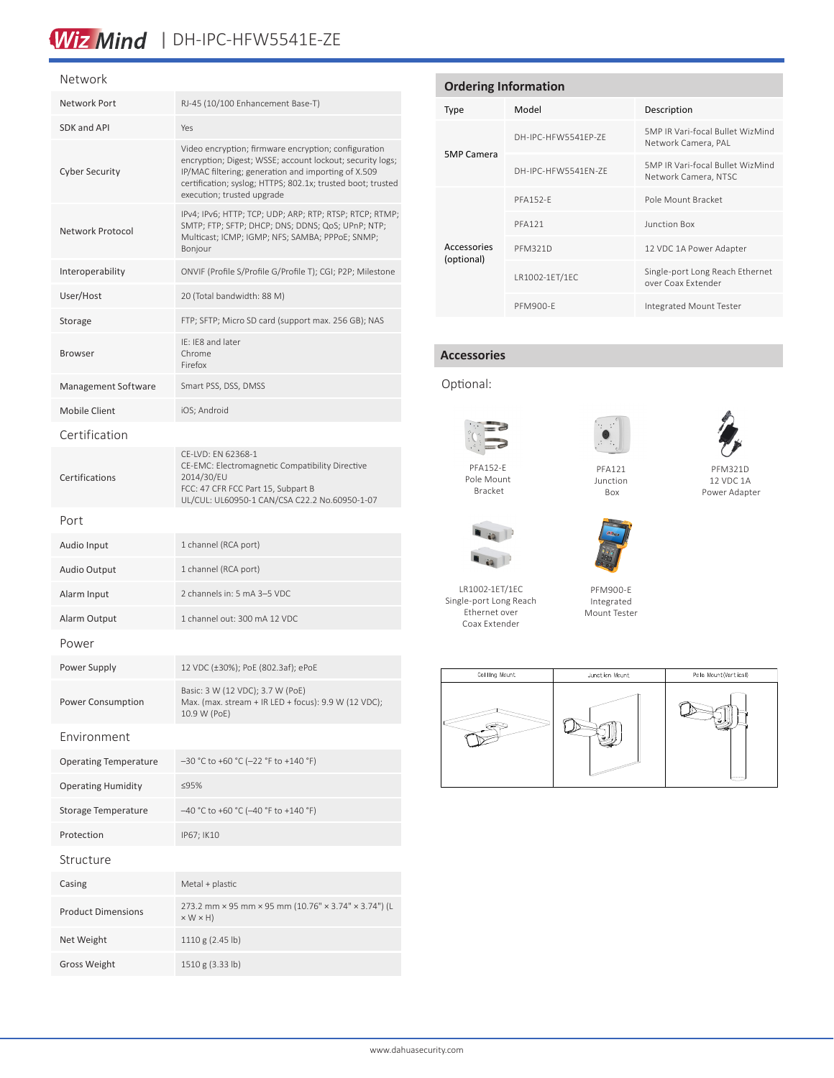# Wiz Mind | DH-IPC-HFW5541E-ZE

#### Network

| Network Port                 | RJ-45 (10/100 Enhancement Base-T)                                                                                                                                                                                                                                     |  |  |  |  |
|------------------------------|-----------------------------------------------------------------------------------------------------------------------------------------------------------------------------------------------------------------------------------------------------------------------|--|--|--|--|
| SDK and API                  | Yes                                                                                                                                                                                                                                                                   |  |  |  |  |
| <b>Cyber Security</b>        | Video encryption; firmware encryption; configuration<br>encryption; Digest; WSSE; account lockout; security logs;<br>IP/MAC filtering; generation and importing of X.509<br>certification; syslog; HTTPS; 802.1x; trusted boot; trusted<br>execution; trusted upgrade |  |  |  |  |
| Network Protocol             | IPv4; IPv6; HTTP; TCP; UDP; ARP; RTP; RTSP; RTCP; RTMP;<br>SMTP; FTP; SFTP; DHCP; DNS; DDNS; QoS; UPnP; NTP;<br>Multicast; ICMP; IGMP; NFS; SAMBA; PPPoE; SNMP;<br>Bonjour                                                                                            |  |  |  |  |
| Interoperability             | ONVIF (Profile S/Profile G/Profile T); CGI; P2P; Milestone                                                                                                                                                                                                            |  |  |  |  |
| User/Host                    | 20 (Total bandwidth: 88 M)                                                                                                                                                                                                                                            |  |  |  |  |
| Storage                      | FTP; SFTP; Micro SD card (support max. 256 GB); NAS                                                                                                                                                                                                                   |  |  |  |  |
| <b>Browser</b>               | IE: IE8 and later<br>Chrome<br>Firefox                                                                                                                                                                                                                                |  |  |  |  |
| Management Software          | Smart PSS, DSS, DMSS                                                                                                                                                                                                                                                  |  |  |  |  |
| Mobile Client                | iOS; Android                                                                                                                                                                                                                                                          |  |  |  |  |
| Certification                |                                                                                                                                                                                                                                                                       |  |  |  |  |
| Certifications               | CE-LVD: EN 62368-1<br>CE-EMC: Electromagnetic Compatibility Directive<br>2014/30/EU<br>FCC: 47 CFR FCC Part 15, Subpart B<br>UL/CUL: UL60950-1 CAN/CSA C22.2 No.60950-1-07                                                                                            |  |  |  |  |
| Port                         |                                                                                                                                                                                                                                                                       |  |  |  |  |
| Audio Input                  | 1 channel (RCA port)                                                                                                                                                                                                                                                  |  |  |  |  |
| Audio Output                 | 1 channel (RCA port)                                                                                                                                                                                                                                                  |  |  |  |  |
| Alarm Input                  | 2 channels in: 5 mA 3-5 VDC                                                                                                                                                                                                                                           |  |  |  |  |
| Alarm Output                 | 1 channel out: 300 mA 12 VDC                                                                                                                                                                                                                                          |  |  |  |  |
| Power                        |                                                                                                                                                                                                                                                                       |  |  |  |  |
| Power Supply                 | 12 VDC (±30%); PoE (802.3af); ePoE                                                                                                                                                                                                                                    |  |  |  |  |
| Power Consumption            | Basic: 3 W (12 VDC); 3.7 W (PoE)<br>Max. (max. stream + IR LED + focus): 9.9 W (12 VDC);<br>10.9 W (PoE)                                                                                                                                                              |  |  |  |  |
| Environment                  |                                                                                                                                                                                                                                                                       |  |  |  |  |
| <b>Operating Temperature</b> | -30 °C to +60 °C (-22 °F to +140 °F)                                                                                                                                                                                                                                  |  |  |  |  |
| <b>Operating Humidity</b>    | ≤95%                                                                                                                                                                                                                                                                  |  |  |  |  |
| <b>Storage Temperature</b>   | -40 °C to +60 °C (-40 °F to +140 °F)                                                                                                                                                                                                                                  |  |  |  |  |
| Protection                   | IP67; IK10                                                                                                                                                                                                                                                            |  |  |  |  |
| Structure                    |                                                                                                                                                                                                                                                                       |  |  |  |  |
| Casing                       | Metal + plastic                                                                                                                                                                                                                                                       |  |  |  |  |
| <b>Product Dimensions</b>    | 273.2 mm × 95 mm × 95 mm (10.76" × 3.74" × 3.74") (L<br>$\times$ W $\times$ H)                                                                                                                                                                                        |  |  |  |  |
| Net Weight                   | 1110 g (2.45 lb)                                                                                                                                                                                                                                                      |  |  |  |  |
| <b>Gross Weight</b>          | 1510 g (3.33 lb)                                                                                                                                                                                                                                                      |  |  |  |  |

| <b>Ordering Information</b> |                     |                                                          |  |  |
|-----------------------------|---------------------|----------------------------------------------------------|--|--|
| <b>Type</b>                 | Model               | Description                                              |  |  |
|                             | DH-IPC-HFW5541FP-7F | 5MP IR Vari-focal Bullet WizMind<br>Network Camera, PAL  |  |  |
| <b>5MP Camera</b>           | DH-IPC-HFW5541FN-7F | 5MP IR Vari-focal Bullet WizMind<br>Network Camera, NTSC |  |  |
|                             | <b>PFA152-F</b>     | Pole Mount Bracket                                       |  |  |
|                             | <b>PFA121</b>       | Junction Box                                             |  |  |
| Accessories<br>(optional)   | <b>PFM321D</b>      | 12 VDC 1A Power Adapter                                  |  |  |
|                             | LR1002-1ET/1EC      | Single-port Long Reach Ethernet<br>over Coax Extender    |  |  |
|                             | <b>PFM900-E</b>     | Integrated Mount Tester                                  |  |  |

### **Accessories**

Optional:



Pole Mount Bracket



PFM321D 12 VDC 1A Power Adapter



LR1002-1ET/1EC Single-port Long Reach Ethernet over

 $\bigcirc$ 



PFM900-E Integrated Mount Tester





Box



 $\blacksquare$  is  $\blacksquare$ 

Coax Extender